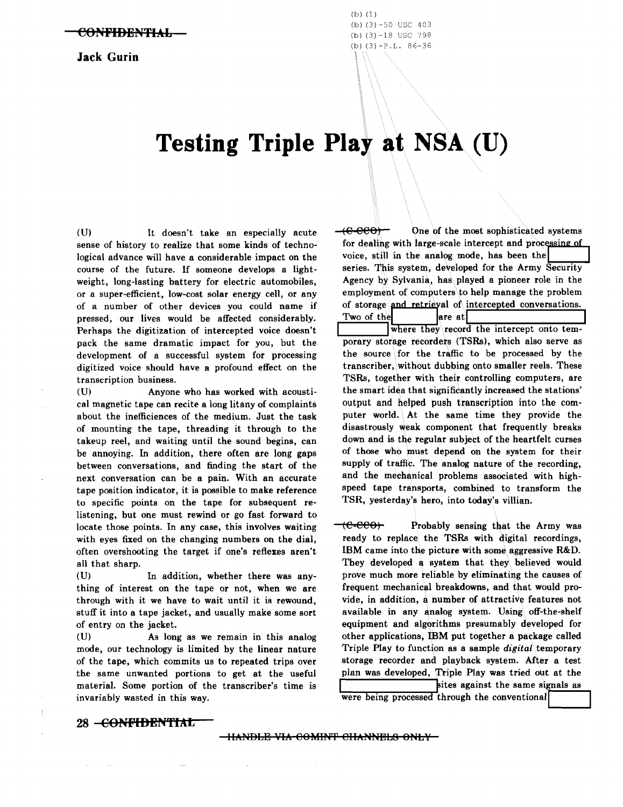**Jack Gurin** 

## Testing Triple Play at NSA (U)

(U) It doesn't take an especially acute sense of history to realize that some kinds of technological advance will have a considerable impact on the course of the future. If someone develops a lightweight, long-lasting battery for electric automobiles, or a super-efficient, low-cost solar energy cell, or any of a number of other devices you could name if pressed, our lives would be affected considerably. Perhaps the digitization of intercepted voice doesn't pack the same dramatic impact for you, but the development of a successful system for processing digitized voice should have a profound effect on the transcription business.

(U) Anyone who has worked with acoustical magnetic tape can recite a long litany of complaints about the inefficiences of the medium. Just the task of mounting the tape, threading it through to the takeup reel, and waiting until the sound begins, can be annoying. In addition, there often are long gaps between conversations, and finding the start of the next conversation can be a pain. With an accurate tape position indicator, it is possible to make reference to specific points on the tape for subsequent relistening, but one must rewind or go fast forward to locate those points. In any case, this involves waiting with eyes fixed on the changing numbers on the dial, often overshooting the target if one's reflexes aren't all that sharp.

(U) In addition, whether there was anything of interest on the tape or not, when we are through with it we have to wait until it is rewound, stuff it into a tape jacket, and usually make some sort of entry on the jacket.

(U) As long as we remain in this analog mode, our technology is limited by the linear nature of the tape, which commits us to repeated trips over the same unwanted portions to get at the useful material. Some portion of the transcriber's time is invariably wasted in this way.

(6 880) One of the most sophisticated systems for dealing with large-scale intercept and processing of voice, still in the analog mode, has been the series. This system, developed for the Army Security Agency by Sylvania, has\ played a pioneer role in the employment of computers\to help manage the problem of storage and retrieval of intercepted conversations.<br>Two of the are at  $\vert$ 

where they record the intercept onto temporary storage recorders (TSRs), which also serve as the source for the traffic to be processed by the transcriber, without dubbing onto smaller reels. These TSRs, together with their controlling computers, are the smart idea that significantly increased the stations' output and helped push transcription into the computer world. At the same time they provide the disastrously weak component that frequently breaks down and is the regular subject of the heartfelt curses of those who must depend on the system for their supply of traffic. The analog nature of the recording, and the mechanical problems associated with highspeed tape transports, combined to transform the TSR, yesterday's hero, into today's villian.

(C-CCO) Probably sensing that the Army was ready to replace the TSRs with digital recordings, IBM came into the picture with some aggressive R&D. They developed a system that they believed would prove much more reliable by eliminating the causes of frequent mechanical breakdowns, and that would provide, in addition, a number of attractive features not available in any analog system. Using off-the-shelf equipment and algorithms presumably developed for other applications, lBM put together a package called Triple Play to function as a sample *digital\temporary*  storage recorder and playback system. After a test plan was developed, Triple Play was tried out at the sites against the same signals as

were being processed through the conventional

**28 CONF'IBEN'fIAL** 

HANDLE VIA COMINT CHANNELS ONLY-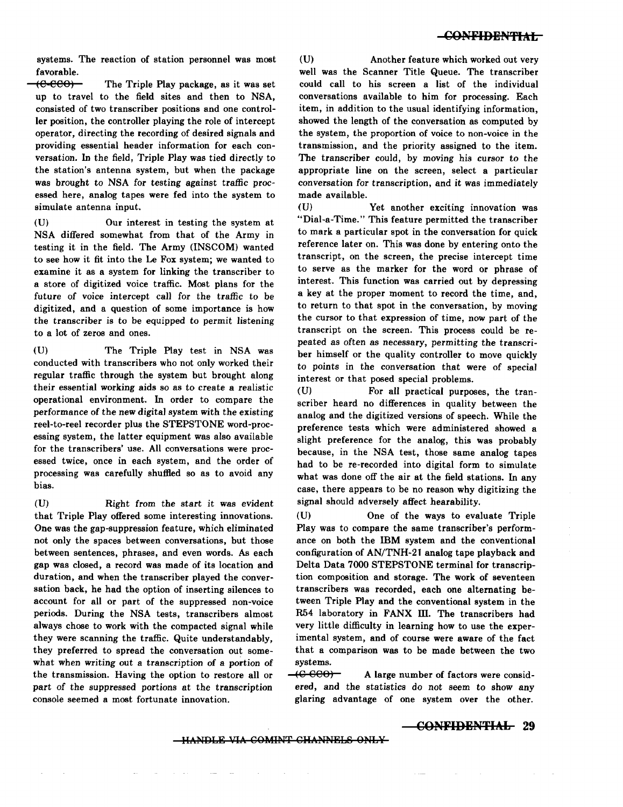systems. The reaction of station personnel was most favorable.

 $(\text{C-CCO})$  The Triple Play package, as it was set up to travel to the field sites and then to NSA, consisted of two transcriber positions and one controller position, the controller playing the role of intercept operator, directing the recording of desired signals and providing essential header information for each conversation. In the field, Triple Play was tied directly to the station's antenna system, but when the package was brought to NSA for testing against traffic processed here, analog tapes were fed into the system to simulate antenna input.

(U) Our interest in testing the system at NSA differed somewhat from that of the Army in testing it in the field. The Army (INSCOM) wanted to see how it fit into the Le Fox system; we wanted to examine it as a system for linking the transcriber to a store of digitized voice traffic. Most plans for the future of voice intercept call for the traffic to be digitized, and a question of some importance is how the transcriber is to be equipped to permit listening to a lot of zeros and ones.

(U) The Triple Play test in NSA was conducted with transcribers who not only worked their regular traffic through the system but brought along their essential working aids so as to create a realistic operational environment. In order to compare the performance of the new digital system with the existing reel-to-reel recorder plus the STEPSTONE word-processing system, the latter equipment was also available for the transcribers' use. All conversations were processed twice, once in each system, and the order of processing was carefully shuffled so as to avoid any bias.

(U) Right from the start it was evident that Triple Play offered some interesting innovations. One was the gap-suppression feature, which eliminated not only the spaces between conversations, but those between sentences, phrases, and even words. As each gap was closed, a record was made of its location and duration, and when the transcriber played the conversation back, he had the option of inserting silences to account for all or part of the suppressed non-voice periods. During the NSA tests, transcribers almost always chose to work with the compacted signal while they were scanning the traffic. Quite understandably, they preferred to spread the conversation out somewhat when writing out a transcription of a portion of the transmission. Having the option to restore all or part of the suppressed portions at the transcription console seemed a most fortunate innovation.

(U) Another feature which worked out very well was the Scanner Title Queue. The transcriber could call to his screen a list of the individual conversations available to him for processing. Each item, in addition to the usual identifying information, showed the length of the conversation as computed by the system, the proportion of voice to non-voice in the transmission, and the priority assigned to the item. The transcriber could, by moving his cursor to the appropriate line on the screen, select a particular conversation for transcription, and it was immediately made available.

(U) Yet another exciting innovation was "Dial-a-Time." This feature permitted the transcriber to mark a particular spot in the conversation for quick reference later on. This was done by entering onto the transcript, on the screen, the precise intercept time to serve as the marker for the word or phrase of interest. This function was carried out by depressing a key at the proper moment to record the time, and, to return to that spot in the conversation, by moving the cursor to that expression of time, now part of the transcript on the screen. This process could be repeated as often as necessary, permitting the transcriber himself or the quality controller to move quickly to points in the conversation that were of special interest or that posed special problems.

(U) For all practical purposes, the transcriber heard no differences in quality between the analog and the digitized versions of speech. While the preference tests which were administered showed a slight preference for the analog, this was probably because, in the NSA test, those same analog tapes had to be re-recorded into digital form to simulate what was done off the air at the field stations. In any case, there appears to be no reason why digitizing the signal should adversely affect hearability.

(U) One of the ways to evaluate Triple Play was to compare the same transcriber's performance on both the IBM system and the conventional configuration of AN/TNH-21 analog tape playback and Delta Data 7000 STEPSTONE terminal for transcription composition and storage. The work of seventeen transcribers was recorded, each one alternating between Triple Play and the conventional system in the R54 laboratory in FANX III. The transcribers had very little difficulty in learning how to use the experimental system, and of course were aware of the fact that a comparison was to be made between the two systems.

 $\leftarrow$  CCO $\rightarrow$  A large number of factors were considered, and the statistics do not seem to show any glaring advantage of one system over the other.

HANDLE VIA COMINT CHANNELS ONLY

 $\sim$   $\sim$ 

 $\sim$   $\sim$ 

## **CONFIBBNTil"I. 29**